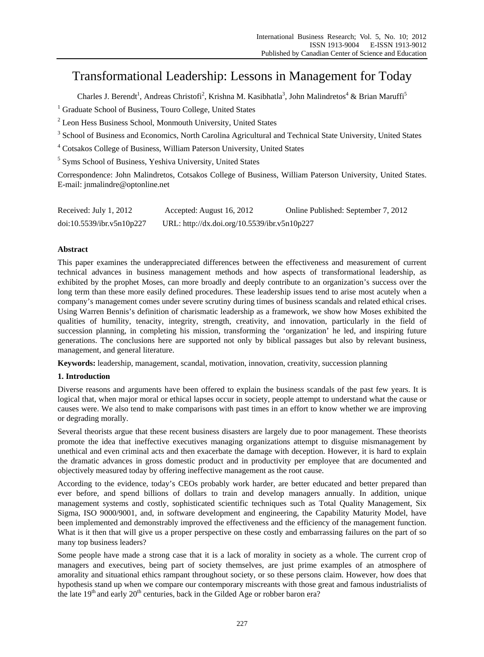# Transformational Leadership: Lessons in Management for Today

Charles J. Berendt<sup>1</sup>, Andreas Christofi<sup>2</sup>, Krishna M. Kasibhatla<sup>3</sup>, John Malindretos<sup>4</sup> & Brian Maruffi<sup>5</sup>

<sup>1</sup> Graduate School of Business, Touro College, United States

<sup>2</sup> Leon Hess Business School, Monmouth University, United States

<sup>3</sup> School of Business and Economics, North Carolina Agricultural and Technical State University, United States

4 Cotsakos College of Business, William Paterson University, United States

<sup>5</sup> Syms School of Business, Yeshiva University, United States

Correspondence: John Malindretos, Cotsakos College of Business, William Paterson University, United States. E-mail: jnmalindre@optonline.net

| Received: July 1, 2012    | Accepted: August 16, 2012                    | Online Published: September 7, 2012 |
|---------------------------|----------------------------------------------|-------------------------------------|
| doi:10.5539/ibr.v5n10p227 | URL: http://dx.doi.org/10.5539/ibr.v5n10p227 |                                     |

## **Abstract**

This paper examines the underappreciated differences between the effectiveness and measurement of current technical advances in business management methods and how aspects of transformational leadership, as exhibited by the prophet Moses, can more broadly and deeply contribute to an organization's success over the long term than these more easily defined procedures. These leadership issues tend to arise most acutely when a company's management comes under severe scrutiny during times of business scandals and related ethical crises. Using Warren Bennis's definition of charismatic leadership as a framework, we show how Moses exhibited the qualities of humility, tenacity, integrity, strength, creativity, and innovation, particularly in the field of succession planning, in completing his mission, transforming the 'organization' he led, and inspiring future generations. The conclusions here are supported not only by biblical passages but also by relevant business, management, and general literature.

**Keywords:** leadership, management, scandal, motivation, innovation, creativity, succession planning

#### **1. Introduction**

Diverse reasons and arguments have been offered to explain the business scandals of the past few years. It is logical that, when major moral or ethical lapses occur in society, people attempt to understand what the cause or causes were. We also tend to make comparisons with past times in an effort to know whether we are improving or degrading morally.

Several theorists argue that these recent business disasters are largely due to poor management. These theorists promote the idea that ineffective executives managing organizations attempt to disguise mismanagement by unethical and even criminal acts and then exacerbate the damage with deception. However, it is hard to explain the dramatic advances in gross domestic product and in productivity per employee that are documented and objectively measured today by offering ineffective management as the root cause.

According to the evidence, today's CEOs probably work harder, are better educated and better prepared than ever before, and spend billions of dollars to train and develop managers annually. In addition, unique management systems and costly, sophisticated scientific techniques such as Total Quality Management, Six Sigma, ISO 9000/9001, and, in software development and engineering, the Capability Maturity Model, have been implemented and demonstrably improved the effectiveness and the efficiency of the management function. What is it then that will give us a proper perspective on these costly and embarrassing failures on the part of so many top business leaders?

Some people have made a strong case that it is a lack of morality in society as a whole. The current crop of managers and executives, being part of society themselves, are just prime examples of an atmosphere of amorality and situational ethics rampant throughout society, or so these persons claim. However, how does that hypothesis stand up when we compare our contemporary miscreants with those great and famous industrialists of the late  $19<sup>th</sup>$  and early  $20<sup>th</sup>$  centuries, back in the Gilded Age or robber baron era?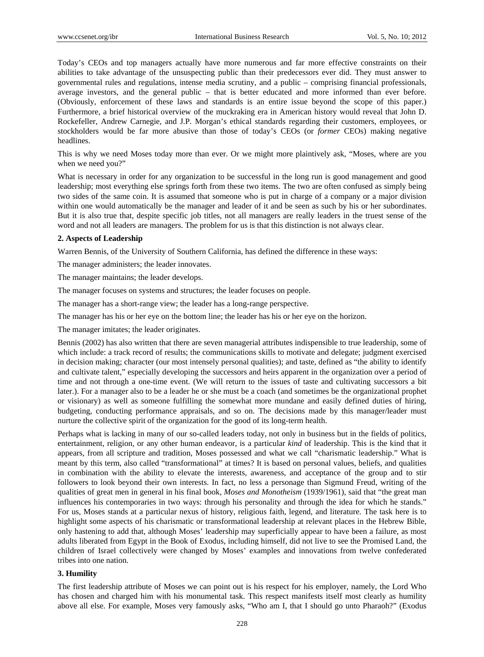Today's CEOs and top managers actually have more numerous and far more effective constraints on their abilities to take advantage of the unsuspecting public than their predecessors ever did. They must answer to governmental rules and regulations, intense media scrutiny, and a public – comprising financial professionals, average investors, and the general public – that is better educated and more informed than ever before. (Obviously, enforcement of these laws and standards is an entire issue beyond the scope of this paper.) Furthermore, a brief historical overview of the muckraking era in American history would reveal that John D. Rockefeller, Andrew Carnegie, and J.P. Morgan's ethical standards regarding their customers, employees, or stockholders would be far more abusive than those of today's CEOs (or *former* CEOs) making negative headlines.

This is why we need Moses today more than ever. Or we might more plaintively ask, "Moses, where are you when we need you?"

What is necessary in order for any organization to be successful in the long run is good management and good leadership; most everything else springs forth from these two items. The two are often confused as simply being two sides of the same coin. It is assumed that someone who is put in charge of a company or a major division within one would automatically be the manager and leader of it and be seen as such by his or her subordinates. But it is also true that, despite specific job titles, not all managers are really leaders in the truest sense of the word and not all leaders are managers. The problem for us is that this distinction is not always clear.

#### **2. Aspects of Leadership**

Warren Bennis, of the University of Southern California, has defined the difference in these ways:

The manager administers; the leader innovates.

The manager maintains; the leader develops.

The manager focuses on systems and structures; the leader focuses on people.

The manager has a short-range view; the leader has a long-range perspective.

The manager has his or her eye on the bottom line; the leader has his or her eye on the horizon.

The manager imitates; the leader originates.

Bennis (2002) has also written that there are seven managerial attributes indispensible to true leadership, some of which include: a track record of results; the communications skills to motivate and delegate; judgment exercised in decision making; character (our most intensely personal qualities); and taste, defined as "the ability to identify and cultivate talent," especially developing the successors and heirs apparent in the organization over a period of time and not through a one-time event. (We will return to the issues of taste and cultivating successors a bit later.). For a manager also to be a leader he or she must be a coach (and sometimes be the organizational prophet or visionary) as well as someone fulfilling the somewhat more mundane and easily defined duties of hiring, budgeting, conducting performance appraisals, and so on. The decisions made by this manager/leader must nurture the collective spirit of the organization for the good of its long-term health.

Perhaps what is lacking in many of our so-called leaders today, not only in business but in the fields of politics, entertainment, religion, or any other human endeavor, is a particular *kind* of leadership. This is the kind that it appears, from all scripture and tradition, Moses possessed and what we call "charismatic leadership." What is meant by this term, also called "transformational" at times? It is based on personal values, beliefs, and qualities in combination with the ability to elevate the interests, awareness, and acceptance of the group and to stir followers to look beyond their own interests. In fact, no less a personage than Sigmund Freud, writing of the qualities of great men in general in his final book, *Moses and Monotheism* (1939/1961), said that "the great man influences his contemporaries in two ways: through his personality and through the idea for which he stands." For us, Moses stands at a particular nexus of history, religious faith, legend, and literature. The task here is to highlight some aspects of his charismatic or transformational leadership at relevant places in the Hebrew Bible, only hastening to add that, although Moses' leadership may superficially appear to have been a failure, as most adults liberated from Egypt in the Book of Exodus, including himself, did not live to see the Promised Land, the children of Israel collectively were changed by Moses' examples and innovations from twelve confederated tribes into one nation.

#### **3. Humility**

The first leadership attribute of Moses we can point out is his respect for his employer, namely, the Lord Who has chosen and charged him with his monumental task. This respect manifests itself most clearly as humility above all else. For example, Moses very famously asks, "Who am I, that I should go unto Pharaoh?" (Exodus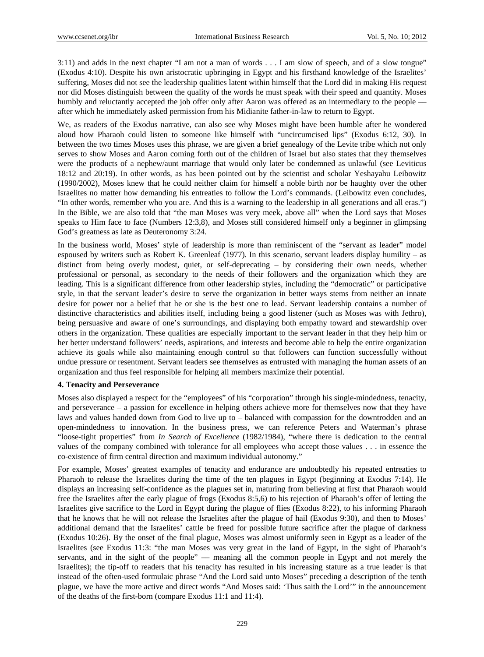3:11) and adds in the next chapter "I am not a man of words . . . I am slow of speech, and of a slow tongue" (Exodus 4:10). Despite his own aristocratic upbringing in Egypt and his firsthand knowledge of the Israelites' suffering, Moses did not see the leadership qualities latent within himself that the Lord did in making His request nor did Moses distinguish between the quality of the words he must speak with their speed and quantity. Moses humbly and reluctantly accepted the job offer only after Aaron was offered as an intermediary to the people after which he immediately asked permission from his Midianite father-in-law to return to Egypt.

We, as readers of the Exodus narrative, can also see why Moses might have been humble after he wondered aloud how Pharaoh could listen to someone like himself with "uncircumcised lips" (Exodus 6:12, 30). In between the two times Moses uses this phrase, we are given a brief genealogy of the Levite tribe which not only serves to show Moses and Aaron coming forth out of the children of Israel but also states that they themselves were the products of a nephew/aunt marriage that would only later be condemned as unlawful (see Leviticus 18:12 and 20:19). In other words, as has been pointed out by the scientist and scholar Yeshayahu Leibowitz (1990/2002), Moses knew that he could neither claim for himself a noble birth nor be haughty over the other Israelites no matter how demanding his entreaties to follow the Lord's commands. (Leibowitz even concludes, "In other words, remember who you are. And this is a warning to the leadership in all generations and all eras.") In the Bible, we are also told that "the man Moses was very meek, above all" when the Lord says that Moses speaks to Him face to face (Numbers 12:3,8), and Moses still considered himself only a beginner in glimpsing God's greatness as late as Deuteronomy 3:24.

In the business world, Moses' style of leadership is more than reminiscent of the "servant as leader" model espoused by writers such as Robert K. Greenleaf (1977). In this scenario, servant leaders display humility – as distinct from being overly modest, quiet, or self-deprecating – by considering their own needs, whether professional or personal, as secondary to the needs of their followers and the organization which they are leading. This is a significant difference from other leadership styles, including the "democratic" or participative style, in that the servant leader's desire to serve the organization in better ways stems from neither an innate desire for power nor a belief that he or she is the best one to lead. Servant leadership contains a number of distinctive characteristics and abilities itself, including being a good listener (such as Moses was with Jethro), being persuasive and aware of one's surroundings, and displaying both empathy toward and stewardship over others in the organization. These qualities are especially important to the servant leader in that they help him or her better understand followers' needs, aspirations, and interests and become able to help the entire organization achieve its goals while also maintaining enough control so that followers can function successfully without undue pressure or resentment. Servant leaders see themselves as entrusted with managing the human assets of an organization and thus feel responsible for helping all members maximize their potential.

#### **4. Tenacity and Perseverance**

Moses also displayed a respect for the "employees" of his "corporation" through his single-mindedness, tenacity, and perseverance – a passion for excellence in helping others achieve more for themselves now that they have laws and values handed down from God to live up to – balanced with compassion for the downtrodden and an open-mindedness to innovation. In the business press, we can reference Peters and Waterman's phrase "loose-tight properties" from *In Search of Excellence* (1982/1984), "where there is dedication to the central values of the company combined with tolerance for all employees who accept those values . . . in essence the co-existence of firm central direction and maximum individual autonomy."

For example, Moses' greatest examples of tenacity and endurance are undoubtedly his repeated entreaties to Pharaoh to release the Israelites during the time of the ten plagues in Egypt (beginning at Exodus 7:14). He displays an increasing self-confidence as the plagues set in, maturing from believing at first that Pharaoh would free the Israelites after the early plague of frogs (Exodus 8:5,6) to his rejection of Pharaoh's offer of letting the Israelites give sacrifice to the Lord in Egypt during the plague of flies (Exodus 8:22), to his informing Pharaoh that he knows that he will not release the Israelites after the plague of hail (Exodus 9:30), and then to Moses' additional demand that the Israelites' cattle be freed for possible future sacrifice after the plague of darkness (Exodus 10:26). By the onset of the final plague, Moses was almost uniformly seen in Egypt as a leader of the Israelites (see Exodus 11:3: "the man Moses was very great in the land of Egypt, in the sight of Pharaoh's servants, and in the sight of the people" –– meaning all the common people in Egypt and not merely the Israelites); the tip-off to readers that his tenacity has resulted in his increasing stature as a true leader is that instead of the often-used formulaic phrase "And the Lord said unto Moses" preceding a description of the tenth plague, we have the more active and direct words "And Moses said: 'Thus saith the Lord'" in the announcement of the deaths of the first-born (compare Exodus 11:1 and 11:4).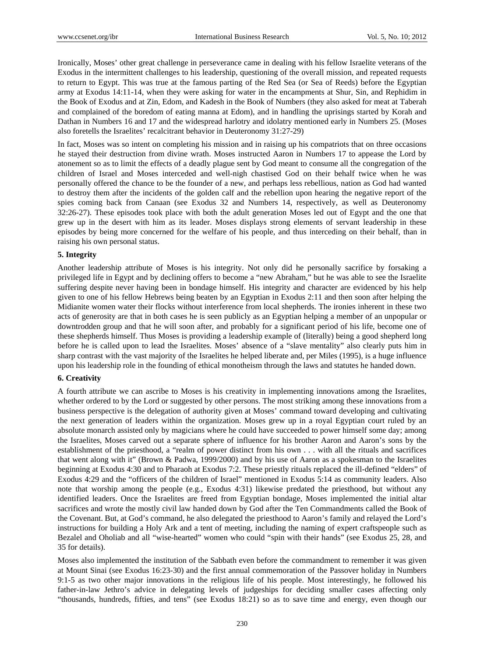Ironically, Moses' other great challenge in perseverance came in dealing with his fellow Israelite veterans of the Exodus in the intermittent challenges to his leadership, questioning of the overall mission, and repeated requests to return to Egypt. This was true at the famous parting of the Red Sea (or Sea of Reeds) before the Egyptian army at Exodus 14:11-14, when they were asking for water in the encampments at Shur, Sin, and Rephidim in the Book of Exodus and at Zin, Edom, and Kadesh in the Book of Numbers (they also asked for meat at Taberah and complained of the boredom of eating manna at Edom), and in handling the uprisings started by Korah and Dathan in Numbers 16 and 17 and the widespread harlotry and idolatry mentioned early in Numbers 25. (Moses also foretells the Israelites' recalcitrant behavior in Deuteronomy 31:27-29)

In fact, Moses was so intent on completing his mission and in raising up his compatriots that on three occasions he stayed their destruction from divine wrath. Moses instructed Aaron in Numbers 17 to appease the Lord by atonement so as to limit the effects of a deadly plague sent by God meant to consume all the congregation of the children of Israel and Moses interceded and well-nigh chastised God on their behalf twice when he was personally offered the chance to be the founder of a new, and perhaps less rebellious, nation as God had wanted to destroy them after the incidents of the golden calf and the rebellion upon hearing the negative report of the spies coming back from Canaan (see Exodus 32 and Numbers 14, respectively, as well as Deuteronomy 32:26-27). These episodes took place with both the adult generation Moses led out of Egypt and the one that grew up in the desert with him as its leader. Moses displays strong elements of servant leadership in these episodes by being more concerned for the welfare of his people, and thus interceding on their behalf, than in raising his own personal status.

#### **5. Integrity**

Another leadership attribute of Moses is his integrity. Not only did he personally sacrifice by forsaking a privileged life in Egypt and by declining offers to become a "new Abraham," but he was able to see the Israelite suffering despite never having been in bondage himself. His integrity and character are evidenced by his help given to one of his fellow Hebrews being beaten by an Egyptian in Exodus 2:11 and then soon after helping the Midianite women water their flocks without interference from local shepherds. The ironies inherent in these two acts of generosity are that in both cases he is seen publicly as an Egyptian helping a member of an unpopular or downtrodden group and that he will soon after, and probably for a significant period of his life, become one of these shepherds himself. Thus Moses is providing a leadership example of (literally) being a good shepherd long before he is called upon to lead the Israelites. Moses' absence of a "slave mentality" also clearly puts him in sharp contrast with the vast majority of the Israelites he helped liberate and, per Miles (1995), is a huge influence upon his leadership role in the founding of ethical monotheism through the laws and statutes he handed down.

#### **6. Creativity**

A fourth attribute we can ascribe to Moses is his creativity in implementing innovations among the Israelites, whether ordered to by the Lord or suggested by other persons. The most striking among these innovations from a business perspective is the delegation of authority given at Moses' command toward developing and cultivating the next generation of leaders within the organization. Moses grew up in a royal Egyptian court ruled by an absolute monarch assisted only by magicians where he could have succeeded to power himself some day; among the Israelites, Moses carved out a separate sphere of influence for his brother Aaron and Aaron's sons by the establishment of the priesthood, a "realm of power distinct from his own . . . with all the rituals and sacrifices that went along with it" (Brown & Padwa, 1999/2000) and by his use of Aaron as a spokesman to the Israelites beginning at Exodus 4:30 and to Pharaoh at Exodus 7:2. These priestly rituals replaced the ill-defined "elders" of Exodus 4:29 and the "officers of the children of Israel" mentioned in Exodus 5:14 as community leaders. Also note that worship among the people (e.g., Exodus 4:31) likewise predated the priesthood, but without any identified leaders. Once the Israelites are freed from Egyptian bondage, Moses implemented the initial altar sacrifices and wrote the mostly civil law handed down by God after the Ten Commandments called the Book of the Covenant. But, at God's command, he also delegated the priesthood to Aaron's family and relayed the Lord's instructions for building a Holy Ark and a tent of meeting, including the naming of expert craftspeople such as Bezalel and Oholiab and all "wise-hearted" women who could "spin with their hands" (see Exodus 25, 28, and 35 for details).

Moses also implemented the institution of the Sabbath even before the commandment to remember it was given at Mount Sinai (see Exodus 16:23-30) and the first annual commemoration of the Passover holiday in Numbers 9:1-5 as two other major innovations in the religious life of his people. Most interestingly, he followed his father-in-law Jethro's advice in delegating levels of judgeships for deciding smaller cases affecting only "thousands, hundreds, fifties, and tens" (see Exodus 18:21) so as to save time and energy, even though our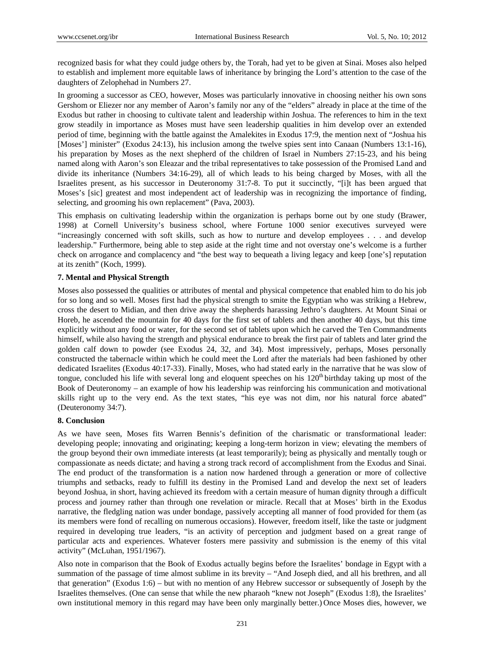recognized basis for what they could judge others by, the Torah, had yet to be given at Sinai. Moses also helped to establish and implement more equitable laws of inheritance by bringing the Lord's attention to the case of the daughters of Zelophehad in Numbers 27.

In grooming a successor as CEO, however, Moses was particularly innovative in choosing neither his own sons Gershom or Eliezer nor any member of Aaron's family nor any of the "elders" already in place at the time of the Exodus but rather in choosing to cultivate talent and leadership within Joshua. The references to him in the text grow steadily in importance as Moses must have seen leadership qualities in him develop over an extended period of time, beginning with the battle against the Amalekites in Exodus 17:9, the mention next of "Joshua his [Moses'] minister" (Exodus 24:13), his inclusion among the twelve spies sent into Canaan (Numbers 13:1-16), his preparation by Moses as the next shepherd of the children of Israel in Numbers 27:15-23, and his being named along with Aaron's son Eleazar and the tribal representatives to take possession of the Promised Land and divide its inheritance (Numbers 34:16-29), all of which leads to his being charged by Moses, with all the Israelites present, as his successor in Deuteronomy 31:7-8. To put it succinctly, "[i]t has been argued that Moses's [sic] greatest and most independent act of leadership was in recognizing the importance of finding, selecting, and grooming his own replacement" (Pava, 2003).

This emphasis on cultivating leadership within the organization is perhaps borne out by one study (Brawer, 1998) at Cornell University's business school, where Fortune 1000 senior executives surveyed were "increasingly concerned with soft skills, such as how to nurture and develop employees . . . and develop leadership." Furthermore, being able to step aside at the right time and not overstay one's welcome is a further check on arrogance and complacency and "the best way to bequeath a living legacy and keep [one's] reputation at its zenith" (Koch, 1999).

## **7. Mental and Physical Strength**

Moses also possessed the qualities or attributes of mental and physical competence that enabled him to do his job for so long and so well. Moses first had the physical strength to smite the Egyptian who was striking a Hebrew, cross the desert to Midian, and then drive away the shepherds harassing Jethro's daughters. At Mount Sinai or Horeb, he ascended the mountain for 40 days for the first set of tablets and then another 40 days, but this time explicitly without any food or water, for the second set of tablets upon which he carved the Ten Commandments himself, while also having the strength and physical endurance to break the first pair of tablets and later grind the golden calf down to powder (see Exodus 24, 32, and 34). Most impressively, perhaps, Moses personally constructed the tabernacle within which he could meet the Lord after the materials had been fashioned by other dedicated Israelites (Exodus 40:17-33). Finally, Moses, who had stated early in the narrative that he was slow of tongue, concluded his life with several long and eloquent speeches on his  $120<sup>th</sup>$  birthday taking up most of the Book of Deuteronomy – an example of how his leadership was reinforcing his communication and motivational skills right up to the very end. As the text states, "his eye was not dim, nor his natural force abated" (Deuteronomy 34:7).

#### **8. Conclusion**

As we have seen, Moses fits Warren Bennis's definition of the charismatic or transformational leader: developing people; innovating and originating; keeping a long-term horizon in view; elevating the members of the group beyond their own immediate interests (at least temporarily); being as physically and mentally tough or compassionate as needs dictate; and having a strong track record of accomplishment from the Exodus and Sinai. The end product of the transformation is a nation now hardened through a generation or more of collective triumphs and setbacks, ready to fulfill its destiny in the Promised Land and develop the next set of leaders beyond Joshua, in short, having achieved its freedom with a certain measure of human dignity through a difficult process and journey rather than through one revelation or miracle. Recall that at Moses' birth in the Exodus narrative, the fledgling nation was under bondage, passively accepting all manner of food provided for them (as its members were fond of recalling on numerous occasions). However, freedom itself, like the taste or judgment required in developing true leaders, "is an activity of perception and judgment based on a great range of particular acts and experiences. Whatever fosters mere passivity and submission is the enemy of this vital activity" (McLuhan, 1951/1967).

Also note in comparison that the Book of Exodus actually begins before the Israelites' bondage in Egypt with a summation of the passage of time almost sublime in its brevity – "And Joseph died, and all his brethren, and all that generation" (Exodus 1:6) – but with no mention of any Hebrew successor or subsequently of Joseph by the Israelites themselves. (One can sense that while the new pharaoh "knew not Joseph" (Exodus 1:8), the Israelites' own institutional memory in this regard may have been only marginally better.) Once Moses dies, however, we